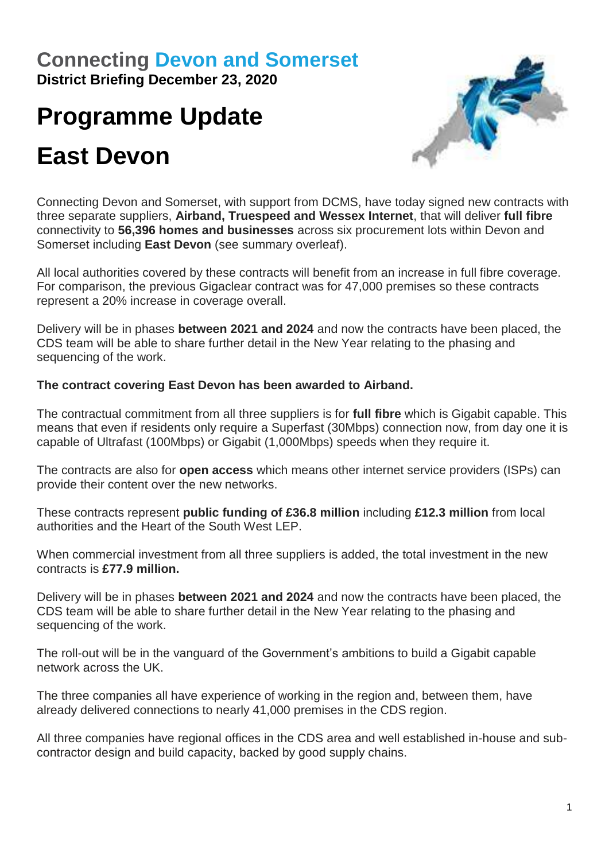# **Connecting [Devon and Somerset](https://www.connectingdevonandsomerset.co.uk/)**

**District Briefing December 23, 2020**

# **Programme Update East Devon**



Connecting Devon and Somerset, with support from DCMS, have today signed new contracts with three separate suppliers, **Airband, Truespeed and Wessex Internet**, that will deliver **full fibre** connectivity to **56,396 homes and businesses** across six procurement lots within Devon and Somerset including **East Devon** (see summary overleaf).

All local authorities covered by these contracts will benefit from an increase in full fibre coverage. For comparison, the previous Gigaclear contract was for 47,000 premises so these contracts represent a 20% increase in coverage overall.

Delivery will be in phases **between 2021 and 2024** and now the contracts have been placed, the CDS team will be able to share further detail in the New Year relating to the phasing and sequencing of the work.

### **The contract covering East Devon has been awarded to Airband.**

The contractual commitment from all three suppliers is for **full fibre** which is Gigabit capable. This means that even if residents only require a Superfast (30Mbps) connection now, from day one it is capable of Ultrafast (100Mbps) or Gigabit (1,000Mbps) speeds when they require it.

The contracts are also for **open access** which means other internet service providers (ISPs) can provide their content over the new networks.

These contracts represent **public funding of £36.8 million** including **£12.3 million** from local authorities and the Heart of the South West LEP.

When commercial investment from all three suppliers is added, the total investment in the new contracts is **£77.9 million.** 

Delivery will be in phases **between 2021 and 2024** and now the contracts have been placed, the CDS team will be able to share further detail in the New Year relating to the phasing and sequencing of the work.

The roll-out will be in the vanguard of the Government's ambitions to build a Gigabit capable network across the UK.

The three companies all have experience of working in the region and, between them, have already delivered connections to nearly 41,000 premises in the CDS region.

All three companies have regional offices in the CDS area and well established in-house and subcontractor design and build capacity, backed by good supply chains.